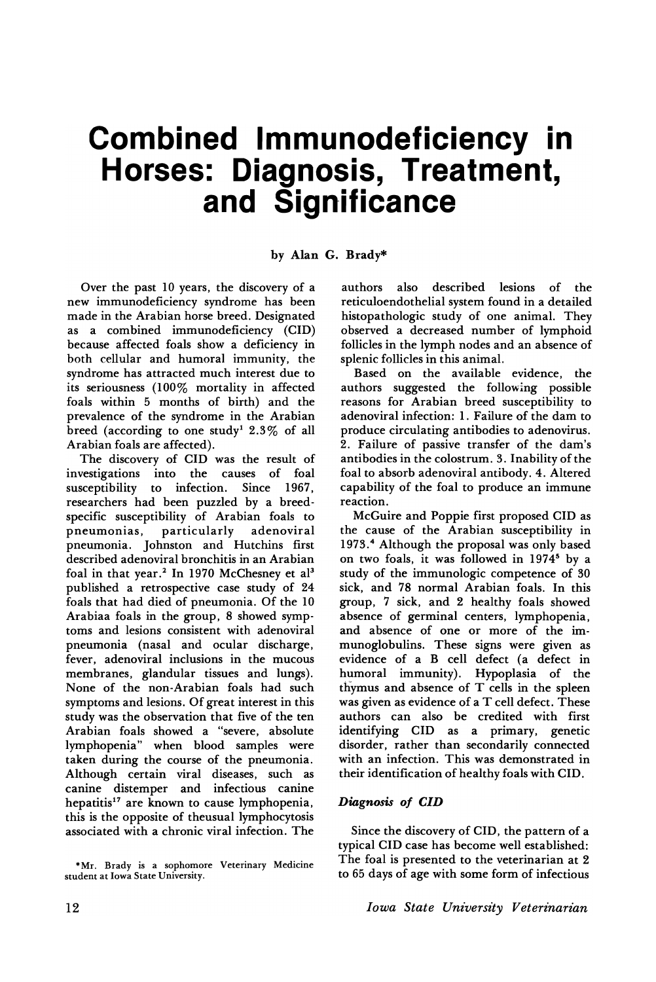# **Combined Immunodeficiency in Horses: Diagnosis, Treatment, and Significance**

## by Alan G. Brady\*

Over the past 10 years, the discovery of a new immunodeficiency syndrome has been made in the Arabian horse breed. Designated as a combined immunodeficiency (CID) because affected foals show a deficiency in both cellular and humoral immunity, the syndrome has attracted much interest due to its seriousness (100% mortality in affected foals within 5 months of birth) and the prevalence of the syndrome in the Arabian breed (according to one study<sup>1</sup> 2.3% of all Arabian foals are affected).

The discovery of CID was the result of investigations into the causes of foal susceptibility to infection. Since 1967, researchers had been puzzled by a breedspecific susceptibility of Arabian foals to pneumonias, particularly adenoviral pneumonia. Johnston and Hutchins first described adenoviral bronchitis in an Arabian foal in that year.<sup>2</sup> In 1970 McChesney et al<sup>3</sup> published a retrospective case study of 24 foals that had died of pneumonia. Of the 10 Arabiaa foals in the group, 8 showed symptoms and lesions consistent with adenoviral pneumonia (nasal and ocular discharge, fever, adenoviral inclusions in the mucous membranes, glandular tissues and lungs). None of the non-Arabian foals had such symptoms and lesions. Of great interest in this study was the observation that five of the ten Arabian foals showed a "severe, absolute lymphopenia" when blood samples were taken during the course of the pneumonia. Although certain viral diseases, such as canine distemper and infectious canine hepatitis<sup>17</sup> are known to cause lymphopenia, this is the opposite of theusual lymphocytosis associated with a chronic viral infection. The

authors also described lesions of the reticuloendothelial system found in a detailed histopathologic study of one animal. They observed a decreased number of lymphoid follicles in the lymph nodes and an absence of splenic follicles in this animal.

Based on the available evidence, the authors suggested the following possible reasons for Arabian breed susceptibility to adenoviral infection: 1. Failure of the dam to produce circulating antibodies to adenovirus. 2. Failure of passive transfer of the dam's antibodies in the colostrum. 3. Inability of the foal to absorb adenoviral antibody. 4. Altered capability of the foal to produce an immune reaction.

McGuire and Poppie first proposed CID as the cause of the Arabian susceptibility in 1973. <sup>4</sup> Although the proposal was only based on two foals, it was followed in 1974<sup>5</sup> by a study of the immunologic competence of 30 sick, and 78 normal Arabian foals. In this group, 7 sick, and 2 healthy foals showed absence of germinal centers, lymphopenia, and absence of one or more of the immunoglobulins. These signs were given as evidence of a B cell defect (a defect in humoral immunity). Hypoplasia of the thymus and absence of T cells in the spleen was given as evidence of a T cell defect. These authors can also be credited with first identifying CID as a primary, genetic disorder, rather than secondarily connected with an infection. This was demonstrated in their identification of healthy foals with CID.

### *Diagnosis* of *CID*

Since the discovery of CID, the pattern of a typical CID case has become well established: The foal is presented to the veterinarian at 2 to 65 days of age with some form of infectious

<sup>\*</sup>Mr. Brady is a sophomore Veterinary Medicine student at Iowa State University.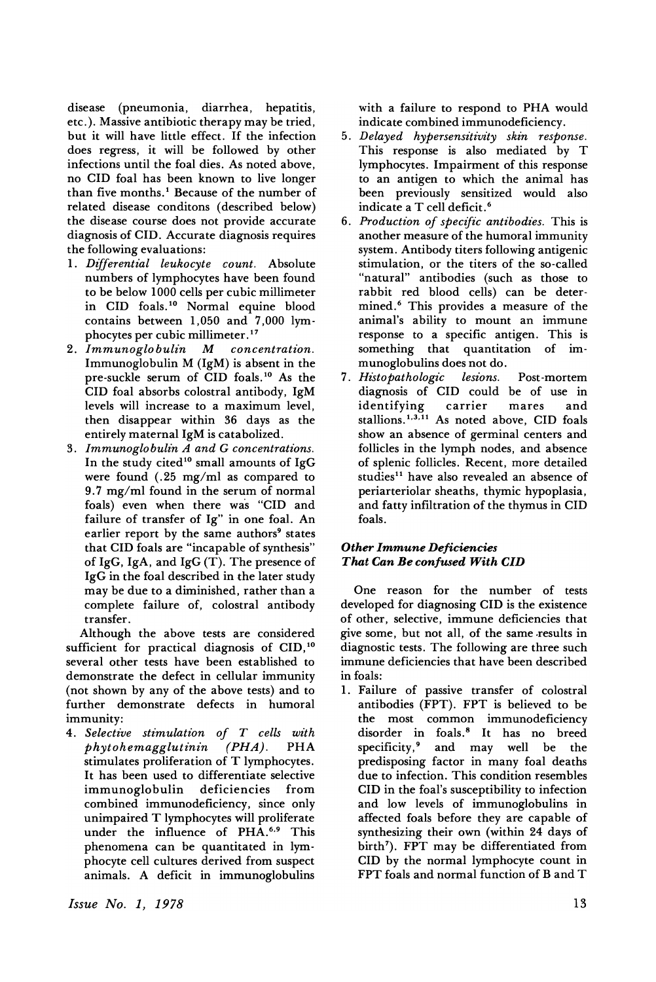disease (pneumonia, diarrhea, hepatitis, etc.). Massive antibiotic therapy may be tried, but it will have little effect. If the infection does regress, it will be followed by other infections until the foal dies. As noted above, no CID foal has been known to live longer than five months.<sup>1</sup> Because of the number of related disease conditons (described below) the disease course does not provide accurate diagnosis of CID. Accurate diagnosis requires the following evaluations:

- 1. *Differential leukocyte count.* Absolute numbers of lymphocytes have been found to be below 1000 cells per cubic millimeter in CID foals. <sup>10</sup> Normal equine blood contains between 1,050 and 7,000 lym-
- phocytes per cubic millimeter.<sup>17</sup><br>Immunoglobulin M conc 2. *Immunoglobulin* **M** *concentration.* Immunoglobulin M (lgM) is absent in the pre-suckle serum of CID foals. <sup>10</sup> As the CID foal absorbs colostral antibody, IgM levels will increase to a maximum level, then disappear within 36 days as the entirely maternal IgM is catabolized.
- 3. *Immunoglobulin A and G concentrations.* In the study cited<sup>10</sup> small amounts of IgG were found (.25 mg/ml as compared to 9.7 mg/ml found in the serum of normal foals) even when there was "CID and failure of transfer of Ig" in one foal. An earlier report by the same authors<sup>9</sup> states that CID foals are "incapable of synthesis" of IgG, IgA, and IgG  $(T)$ . The presence of IgG in the foal described in the later study may be due to a diminished, rather than a complete failure of, colostral antibody transfer.

Although the above tests are considered sufficient for practical diagnosis of CID,<sup>10</sup> several other tests have been established to demonstrate the defect in cellular immunity (not shown by any of the above tests) and to further demonstrate defects in humoral immunity:

*4. Selectz've stz'mulat'ion of T cells wz'th*  $ph$ <sup>y</sup>tohemagglutinin stimulates proliferation of T lymphocytes. It has been used to differentiate selective immunoglobulin combined immunodeficiency, since only unimpaired T lymphocytes will proliferate under the influence of PHA.<sup>6,9</sup> This phenomena can be quantitated in lymphocyte cell cultures derived from suspect animals. A deficit in immunoglobulins with a failure to respond to PHA would indicate combined immunodeficiency.

- 5. *Delayed hypersensitivity skin response.* This response is also mediated by T lymphocytes. Impairment of this response to an antigen to which the animal has been previously sensitized would also indicate a T cell deficit. <sup>6</sup>
- *6. Productz"on of specifz"c antz'bodz"es.* This is another measure of the humoral immunity system. Antibody titers following antigenic stimulation, or the titers of the so-called "natural" antibodies (such as those to rabbit red blood cells) can be determined. <sup>6</sup> This provides a measure of the animal's ability to mount an immune response to a specific antigen. This is something that quantitation of im-
- munoglobulins does not do.<br>Histo pathologic lesions. 7. *Histopathologic lesions*. Post-mortem diagnosis of CID could be of use in<br>identifying carrier mares and identifying carrier mares and stallions.1,3,11 As noted above, CID foals show an absence of germinal centers and follicles in the lymph nodes, and absence of splenic follicles. Recent, more detailed studies<sup>11</sup> have also revealed an absence of periarteriolar sheaths, thymic hypoplasia, and fatty infiltration of the thymus in CID foals.

## *Other Immune Deficiencies That Can Be confused With CID*

One reason for the number of tests developed for diagnosing CID is the existence of other, selective, immune deficiencies that give some, but not all, of the same .results in diagnostic tests. The following are three such immune deficiencies that have been described in foals:

1. Failure of passive transfer of colostral antibodies (FPT). FPT is believed to be the most common immunodeficiency disorder in foals.<sup>8</sup> It has no breed<br>specificity,<sup>9</sup> and may well be the and may well be predisposing factor in many foal deaths due to infection. This condition resembles CID in the foal's susceptibility to infection and low levels of immunoglobulins in affected foals before they are capable of synthesizing their own (within 24 days of birth'). FPT may be differentiated from CID by the normal lymphocyte count in FPT foals and normal function of Band T

*Issue No.1, 1978*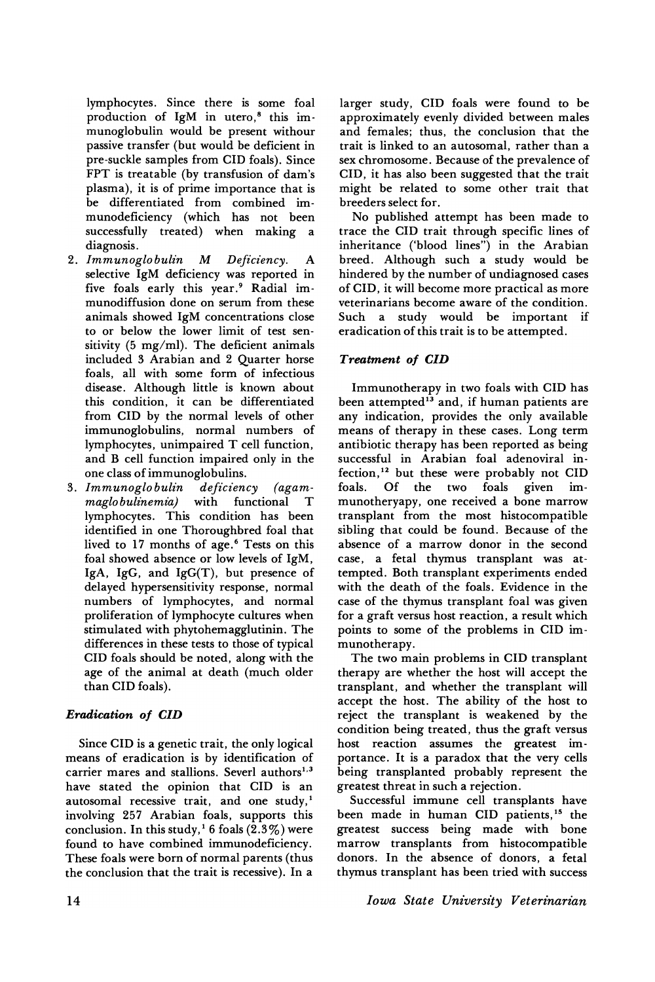lymphocytes. Since there is some foal production of IgM in utero,<sup>8</sup> this immunoglobulin would be present withour passive transfer (but would be deficient in pre-suckle samples from CID foals). Since FPT is treatable (by transfusion of dam's plasma), it is of prime importance that is be differentiated from combined immunodeficiency (which has not been successfully treated) when making a diagnosis.

- 2. *Immunoglobulin* M *Deficiency*. A selective IgM deficiency was reported in five foals early this year.<sup>9</sup> Radial immunodiffusion done on serum from these animals showed IgM concentrations close to or below the lower limit of test sensitivity (5 mg/ml). The deficient animals included 3 Arabian and 2 Quarter horse foals, all with some form of infectious disease. Although little is known about this condition, it can be differentiated from CID by the normal levels of other immunoglobulins, normal numbers of lymphocytes, unimpaired T cell function, and B cell function impaired only in the
- one class of immunoglobulins.<br>Immunoglobulin deficiency (agam-3. *Immunoglobulin deficiency (agam-*<br>maglobulinemia) with functional  $maglobulinemia)$  with functional T lymphocytes. This condition has been identified in one Thoroughbred foal that lived to 17 months of age.<sup>6</sup> Tests on this foal showed absence or low levels of IgM, IgA, IgG, and IgG(T), but presence of delayed hypersensitivity response, normal numbers of lymphocytes, and normal proliferation of lymphocyte cultures when stimulated with phytohemagglutinin. The differences in these tests to those of typical CID foals should be noted, along with the age of the animal at death (much older than CID foals).

# *Eradication of CID*

Since CID is a genetic trait, the only logical means of eradication is by identification of carrier mares and stallions. Severl authors<sup>1,3</sup> have stated the opinion that CID is an autosomal recessive trait, and one study, $<sup>1</sup>$ </sup> involving 257 Arabian foals, supports this conclusion. In this study,<sup>1</sup> 6 foals  $(2.3\%)$  were found to have combined immunodeficiency. These foals were born of normal parents (thus the conclusion that the trait is recessive). In a larger study, CID foals were found to be approximately evenly divided between males and females; thus, the conclusion that the trait is linked to an autosomal, rather than a sex chromosome. Because of the prevalence of CID, it has also been suggested that the trait might be related to some other trait that breeders select for.

No published attempt has been made to trace the CID trait through specific lines of inheritance ('blood lines") in the Arabian breed. Although such a study would be hindered by the number of undiagnosed cases of CID, it will become more practical as more veterinarians become aware of the condition. Such a study would be important if eradication of this trait is to be attempted.

# *Treatment of CID*

Immunotherapy in two foals with CID has been attempted<sup>13</sup> and, if human patients are any indication, provides the only available means of therapy in these cases. Long term antibiotic therapy has been reported as being successful in Arabian foal adenoviral infection,<sup>12</sup> but these were probably not CID<br>foals. Of the two foals given imtwo foals given immunotheryapy, one received a bone marrow transplant from the most histocompatible sibling that could be found. Because of the absence of a marrow donor in the second case, a fetal thymus transplant was attempted. Both transplant experiments ended with the death of the foals. Evidence in the case of the thymus transplant foal was given for a graft versus host reaction, a result which points to some of the problems in CID immunotherapy.

The two main problems in CID transplant therapy are whether the host will accept the transplant, and whether the transplant will accept the host. The ability of the host to reject the transplant is weakened by the condition being treated, thus the graft versus host reaction assumes the greatest importance. It is a paradox that the very cells being transplanted probably represent the greatest threat in such a rejection.

Successful immune cell transplants have been made in human CID patients,<sup>15</sup> the greatest success being made with bone marrow transplants from histocompatible donors. In the absence of donors, a fetal thymus transplant has been tried with success